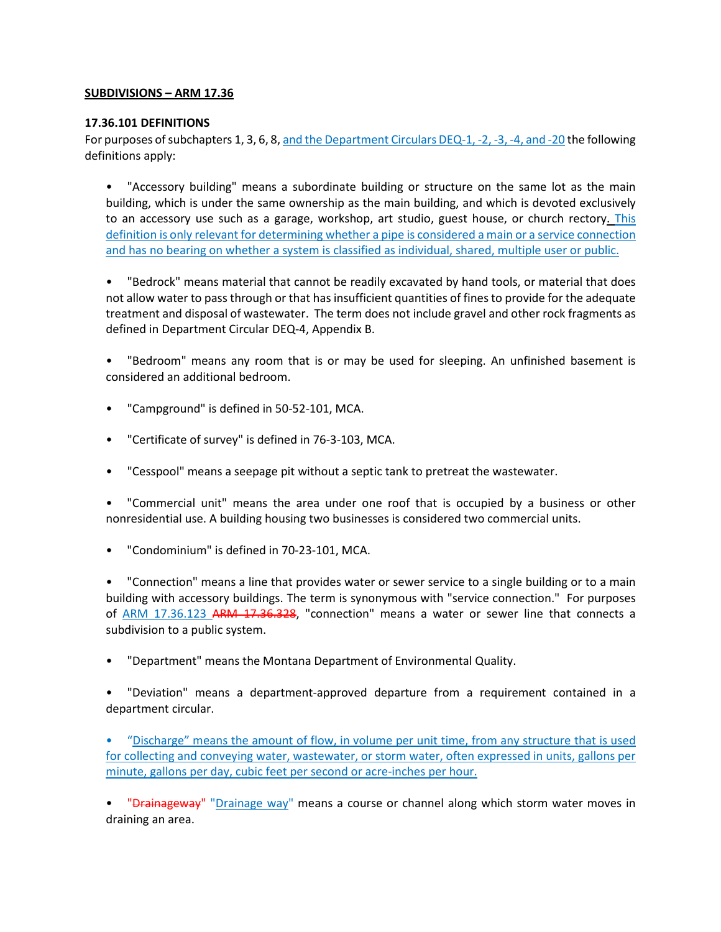### **SUBDIVISIONS – ARM 17.36**

## **17.36.101 DEFINITIONS**

For purposes of subchapters 1, 3, 6, 8, and the Department Circulars DEQ-1, -2, -3, -4, and -20 the following definitions apply:

• "Accessory building" means a subordinate building or structure on the same lot as the main building, which is under the same ownership as the main building, and which is devoted exclusively to an accessory use such as a garage, workshop, art studio, guest house, or church rectory. This definition is only relevant for determining whether a pipe is considered a main or a service connection and has no bearing on whether a system is classified as individual, shared, multiple user or public.

• "Bedrock" means material that cannot be readily excavated by hand tools, or material that does not allow water to pass through or that has insufficient quantities of fines to provide for the adequate treatment and disposal of wastewater. The term does not include gravel and other rock fragments as defined in Department Circular DEQ-4, Appendix B.

• "Bedroom" means any room that is or may be used for sleeping. An unfinished basement is considered an additional bedroom.

- "Campground" is defined in 50-52-101, MCA.
- "Certificate of survey" is defined in 76-3-103, MCA.
- "Cesspool" means a seepage pit without a septic tank to pretreat the wastewater.

• "Commercial unit" means the area under one roof that is occupied by a business or other nonresidential use. A building housing two businesses is considered two commercial units.

• "Condominium" is defined in 70-23-101, MCA.

• "Connection" means a line that provides water or sewer service to a single building or to a main building with accessory buildings. The term is synonymous with "service connection." For purposes of ARM 17.36.123 ARM 17.36.328, "connection" means a water or sewer line that connects a subdivision to a public system.

• "Department" means the Montana Department of Environmental Quality.

• "Deviation" means a department-approved departure from a requirement contained in a department circular.

• "Discharge" means the amount of flow, in volume per unit time, from any structure that is used for collecting and conveying water, wastewater, or storm water, often expressed in units, gallons per minute, gallons per day, cubic feet per second or acre-inches per hour.

• "Drainageway" "Drainage way" means a course or channel along which storm water moves in draining an area.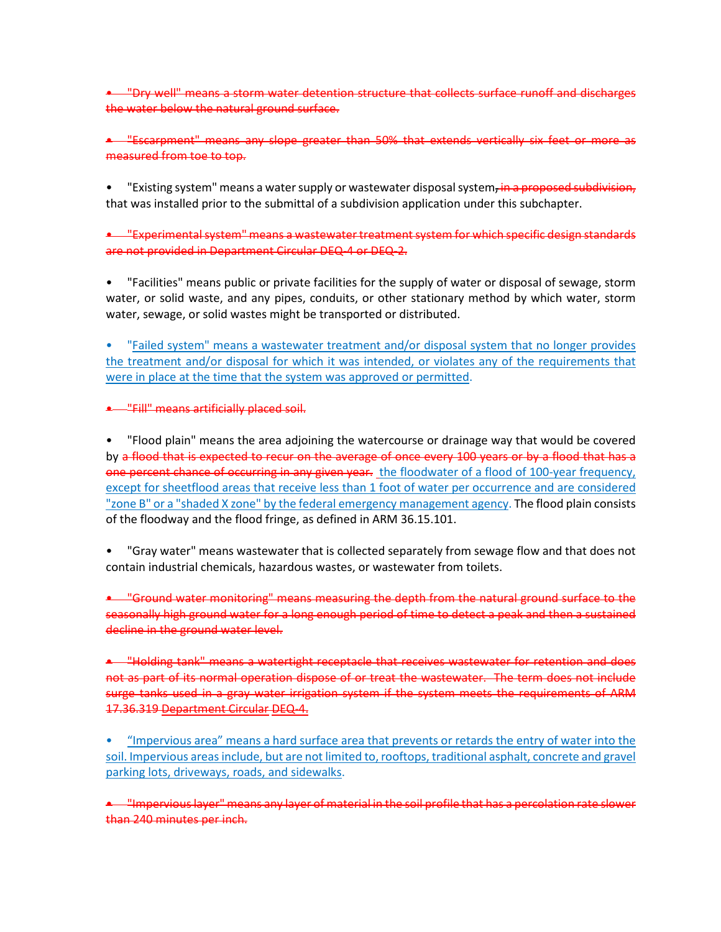• "Dry well" means a storm water detention structure that collects surface runoff and discharges the water below the natural ground surface.

• "Escarpment" means any slope greater than 50% that extends vertically six feet or more as measured from toe to top.

"Existing system" means a water supply or wastewater disposal system, in a proposed subdivision, that was installed prior to the submittal of a subdivision application under this subchapter.

• "Experimental system" means a wastewater treatment system for which specific design standards are not provided in Department Circular DEQ-4 or DEQ-2.

• "Facilities" means public or private facilities for the supply of water or disposal of sewage, storm water, or solid waste, and any pipes, conduits, or other stationary method by which water, storm water, sewage, or solid wastes might be transported or distributed.

• "Failed system" means a wastewater treatment and/or disposal system that no longer provides the treatment and/or disposal for which it was intended, or violates any of the requirements that were in place at the time that the system was approved or permitted.

• "Fill" means artificially placed soil.

• "Flood plain" means the area adjoining the watercourse or drainage way that would be covered by a flood that is expected to recur on the average of once every 100 years or by a flood that has a one percent chance of occurring in any given year. the floodwater of a flood of 100-year frequency, except for sheetflood areas that receive less than 1 foot of water per occurrence and are considered "zone B" or a "shaded X zone" by the federal emergency management agency. The flood plain consists of the floodway and the flood fringe, as defined in ARM 36.15.101.

• "Gray water" means wastewater that is collected separately from sewage flow and that does not contain industrial chemicals, hazardous wastes, or wastewater from toilets.

• "Ground water monitoring" means measuring the depth from the natural ground surface to the seasonally high ground water for a long enough period of time to detect a peak and then a sustained decline in the ground water level.

• "Holding tank" means a watertight receptacle that receives wastewater for retention and does not as part of its normal operation dispose of or treat the wastewater. The term does not include surge tanks used in a gray water irrigation system if the system meets the requirements of ARM 17.36.319 Department Circular DEQ-4.

• "Impervious area" means a hard surface area that prevents or retards the entry of water into the soil. Impervious areas include, but are not limited to, rooftops, traditional asphalt, concrete and gravel parking lots, driveways, roads, and sidewalks.

• "Impervious layer" means any layer of material in the soil profile that has a percolation rate slower than 240 minutes per inch.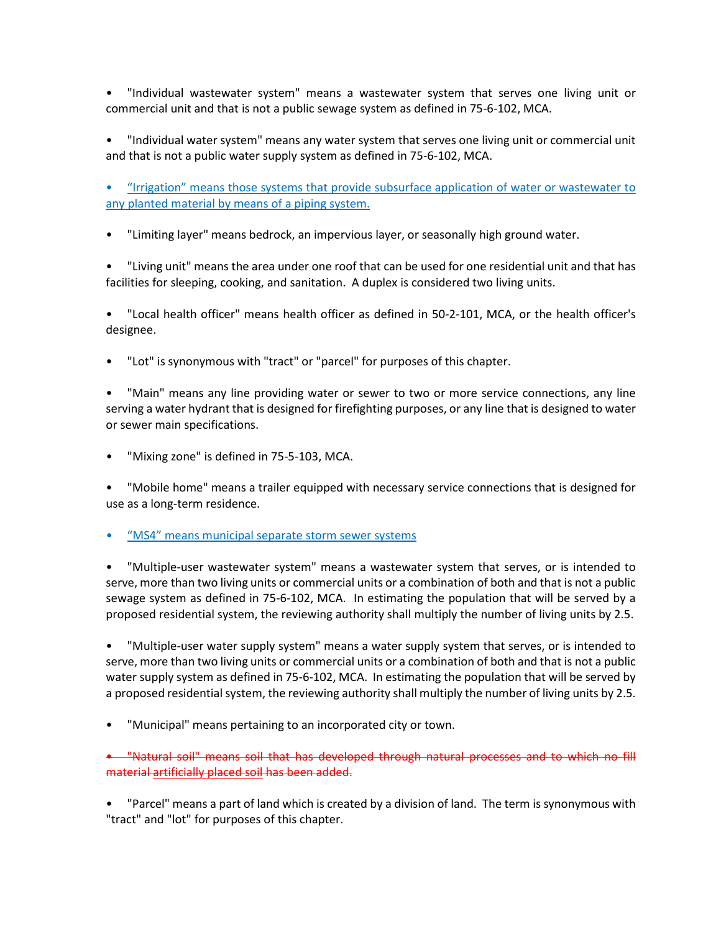• "Individual wastewater system" means a wastewater system that serves one living unit or commercial unit and that is not a public sewage system as defined in 75-6-102, MCA.

• "Individual water system" means any water system that serves one living unit or commercial unit and that is not a public water supply system as defined in 75-6-102, MCA.

• "Irrigation" means those systems that provide subsurface application of water or wastewater to any planted material by means of a piping system.

• "Limiting layer" means bedrock, an impervious layer, or seasonally high ground water.

• "Living unit" means the area under one roof that can be used for one residential unit and that has facilities for sleeping, cooking, and sanitation. A duplex is considered two living units.

• "Local health officer" means health officer as defined in 50-2-101, MCA, or the health officer's designee.

• "Lot" is synonymous with "tract" or "parcel" for purposes of this chapter.

• "Main" means any line providing water or sewer to two or more service connections, any line serving a water hydrant that is designed for firefighting purposes, or any line that is designed to water or sewer main specifications.

• "Mixing zone" is defined in 75-5-103, MCA.

• "Mobile home" means a trailer equipped with necessary service connections that is designed for use as a long-term residence.

• "MS4" means municipal separate storm sewer systems

• "Multiple-user wastewater system" means a wastewater system that serves, or is intended to serve, more than two living units or commercial units or a combination of both and that is not a public sewage system as defined in 75-6-102, MCA. In estimating the population that will be served by a proposed residential system, the reviewing authority shall multiply the number of living units by 2.5.

• "Multiple-user water supply system" means a water supply system that serves, or is intended to serve, more than two living units or commercial units or a combination of both and that is not a public water supply system as defined in 75-6-102, MCA. In estimating the population that will be served by a proposed residential system, the reviewing authority shall multiply the number of living units by 2.5.

"Municipal" means pertaining to an incorporated city or town.

• "Natural soil" means soil that has developed through natural processes and to which no fill material artificially placed soil has been added.

• "Parcel" means a part of land which is created by a division of land. The term is synonymous with "tract" and "lot" for purposes of this chapter.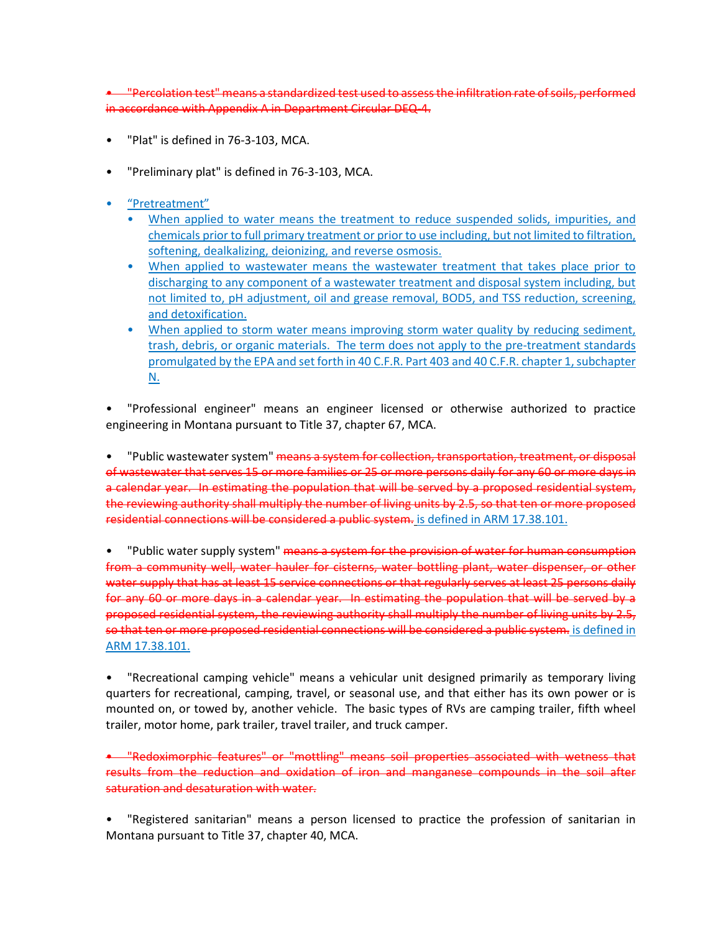• "Percolation test" means a standardized test used to assess the infiltration rate of soils, performed in accordance with Appendix A in Department Circular DEQ-4.

- "Plat" is defined in 76-3-103, MCA.
- "Preliminary plat" is defined in 76-3-103, MCA.
- "Pretreatment"
	- When applied to water means the treatment to reduce suspended solids, impurities, and chemicals prior to full primary treatment or prior to use including, but not limited to filtration, softening, dealkalizing, deionizing, and reverse osmosis.
	- When applied to wastewater means the wastewater treatment that takes place prior to discharging to any component of a wastewater treatment and disposal system including, but not limited to, pH adjustment, oil and grease removal, BOD5, and TSS reduction, screening, and detoxification.
	- When applied to storm water means improving storm water quality by reducing sediment, trash, debris, or organic materials. The term does not apply to the pre-treatment standards promulgated by the EPA and set forth in 40 C.F.R. Part 403 and 40 C.F.R. chapter 1, subchapter N.

• "Professional engineer" means an engineer licensed or otherwise authorized to practice engineering in Montana pursuant to Title 37, chapter 67, MCA.

• "Public wastewater system" means a system for collection, transportation, treatment, or disposal of wastewater that serves 15 or more families or 25 or more persons daily for any 60 or more days in a calendar year. In estimating the population that will be served by a proposed residential system, the reviewing authority shall multiply the number of living units by 2.5, so that ten or more proposed residential connections will be considered a public system. is defined in ARM 17.38.101.

"Public water supply system" means a system for the provision of water for human consumption from a community well, water hauler for cisterns, water bottling plant, water dispenser, or other water supply that has at least 15 service connections or that regularly serves at least 25 persons daily for any 60 or more days in a calendar year. In estimating the population that will be served by a proposed residential system, the reviewing authority shall multiply the number of living units by 2.5, so that ten or more proposed residential connections will be considered a public system. is defined in ARM 17.38.101.

• "Recreational camping vehicle" means a vehicular unit designed primarily as temporary living quarters for recreational, camping, travel, or seasonal use, and that either has its own power or is mounted on, or towed by, another vehicle. The basic types of RVs are camping trailer, fifth wheel trailer, motor home, park trailer, travel trailer, and truck camper.

• "Redoximorphic features" or "mottling" means soil properties associated with wetness that results from the reduction and oxidation of iron and manganese compounds in the soil after saturation and desaturation with water.

• "Registered sanitarian" means a person licensed to practice the profession of sanitarian in Montana pursuant to Title 37, chapter 40, MCA.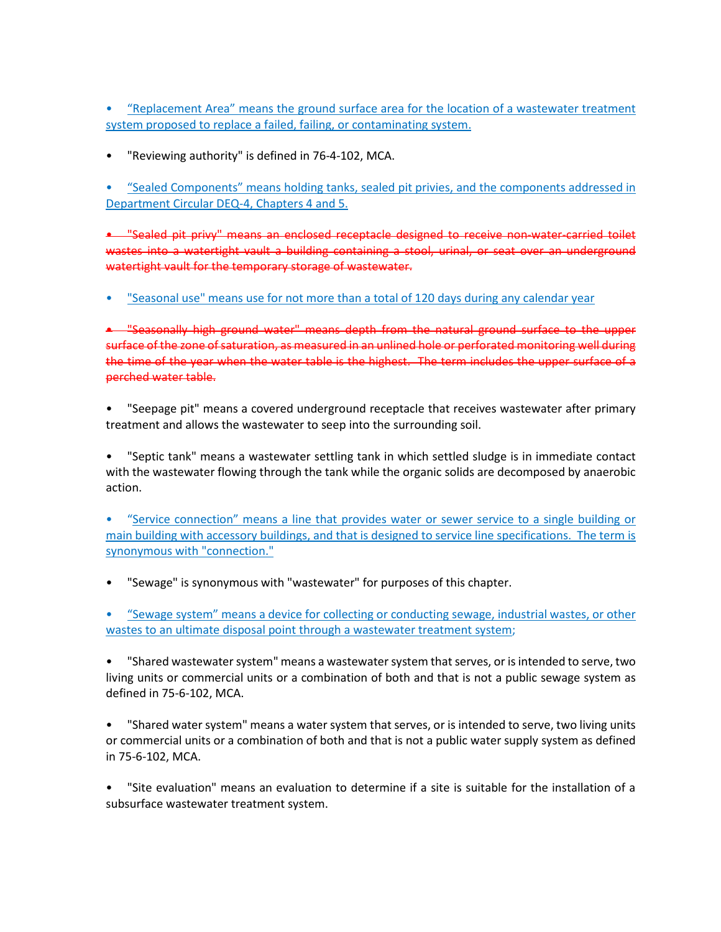• "Replacement Area" means the ground surface area for the location of a wastewater treatment system proposed to replace a failed, failing, or contaminating system.

• "Reviewing authority" is defined in 76-4-102, MCA.

• "Sealed Components" means holding tanks, sealed pit privies, and the components addressed in Department Circular DEQ-4, Chapters 4 and 5.

• "Sealed pit privy" means an enclosed receptacle designed to receive non-water-carried toilet wastes into a watertight vault a building containing a stool, urinal, or seat over an underground watertight vault for the temporary storage of wastewater.

• "Seasonal use" means use for not more than a total of 120 days during any calendar year

• "Seasonally high ground water" means depth from the natural ground surface to the upper surface of the zone of saturation, as measured in an unlined hole or perforated monitoring well during the time of the year when the water table is the highest. The term includes the upper surface of a perched water table.

• "Seepage pit" means a covered underground receptacle that receives wastewater after primary treatment and allows the wastewater to seep into the surrounding soil.

• "Septic tank" means a wastewater settling tank in which settled sludge is in immediate contact with the wastewater flowing through the tank while the organic solids are decomposed by anaerobic action.

• "Service connection" means a line that provides water or sewer service to a single building or main building with accessory buildings, and that is designed to service line specifications. The term is synonymous with "connection."

"Sewage" is synonymous with "wastewater" for purposes of this chapter.

• "Sewage system" means a device for collecting or conducting sewage, industrial wastes, or other wastes to an ultimate disposal point through a wastewater treatment system;

• "Shared wastewater system" means a wastewater system that serves, or is intended to serve, two living units or commercial units or a combination of both and that is not a public sewage system as defined in 75-6-102, MCA.

• "Shared water system" means a water system that serves, or is intended to serve, two living units or commercial units or a combination of both and that is not a public water supply system as defined in 75-6-102, MCA.

• "Site evaluation" means an evaluation to determine if a site is suitable for the installation of a subsurface wastewater treatment system.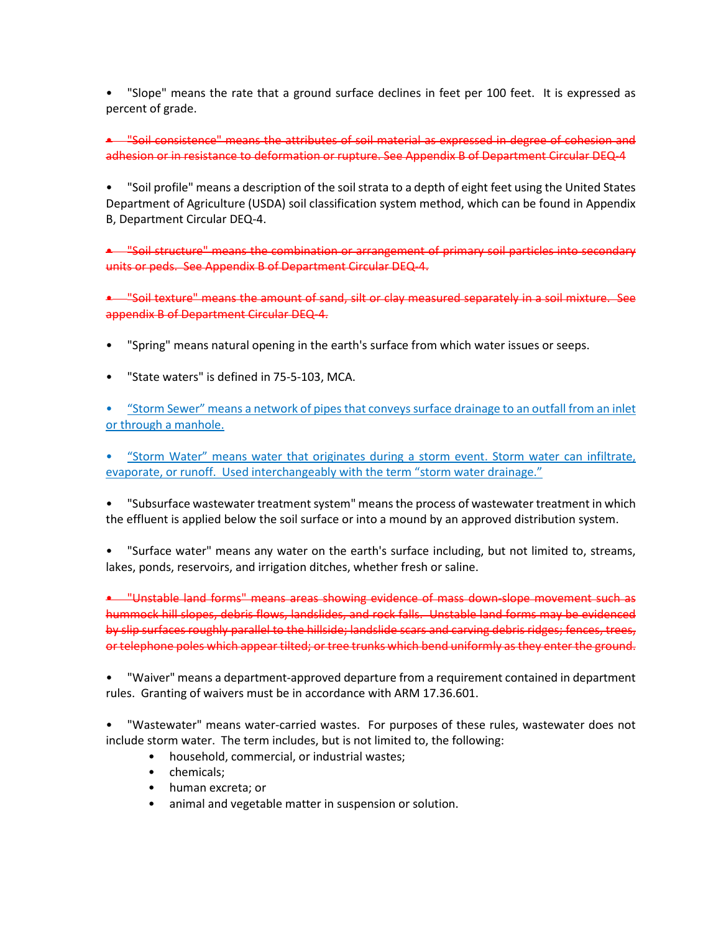• "Slope" means the rate that a ground surface declines in feet per 100 feet. It is expressed as percent of grade.

• "Soil consistence" means the attributes of soil material as expressed in degree of cohesion and adhesion or in resistance to deformation or rupture. See Appendix B of Department Circular DEQ-4

• "Soil profile" means a description of the soil strata to a depth of eight feet using the United States Department of Agriculture (USDA) soil classification system method, which can be found in Appendix B, Department Circular DEQ-4.

• "Soil structure" means the combination or arrangement of primary soil particles into secondary units or peds. See Appendix B of Department Circular DEQ-4.

• "Soil texture" means the amount of sand, silt or clay measured separately in a soil mixture. See appendix B of Department Circular DEQ-4.

- "Spring" means natural opening in the earth's surface from which water issues or seeps.
- "State waters" is defined in 75-5-103, MCA.

• "Storm Sewer" means a network of pipes that conveys surface drainage to an outfall from an inlet or through a manhole.

• "Storm Water" means water that originates during a [storm](https://en.wikipedia.org/wiki/Precipitation_(meteorology)) event. Storm water can infiltrate, evaporate, or runoff. Used interchangeably with the term "storm water drainage."

• "Subsurface wastewater treatment system" means the process of wastewater treatment in which the effluent is applied below the soil surface or into a mound by an approved distribution system.

• "Surface water" means any water on the earth's surface including, but not limited to, streams, lakes, ponds, reservoirs, and irrigation ditches, whether fresh or saline.

• "Unstable land forms" means areas showing evidence of mass down-slope movement such as hummock hill slopes, debris flows, landslides, and rock falls. Unstable land forms may be evidenced by slip surfaces roughly parallel to the hillside; landslide scars and carving debris ridges; fences, trees, or telephone poles which appear tilted; or tree trunks which bend uniformly as they enter the ground.

• "Waiver" means a department-approved departure from a requirement contained in department rules. Granting of waivers must be in accordance with ARM 17.36.601.

• "Wastewater" means water-carried wastes. For purposes of these rules, wastewater does not include storm water. The term includes, but is not limited to, the following:

- household, commercial, or industrial wastes;
- chemicals;
- human excreta; or
- animal and vegetable matter in suspension or solution.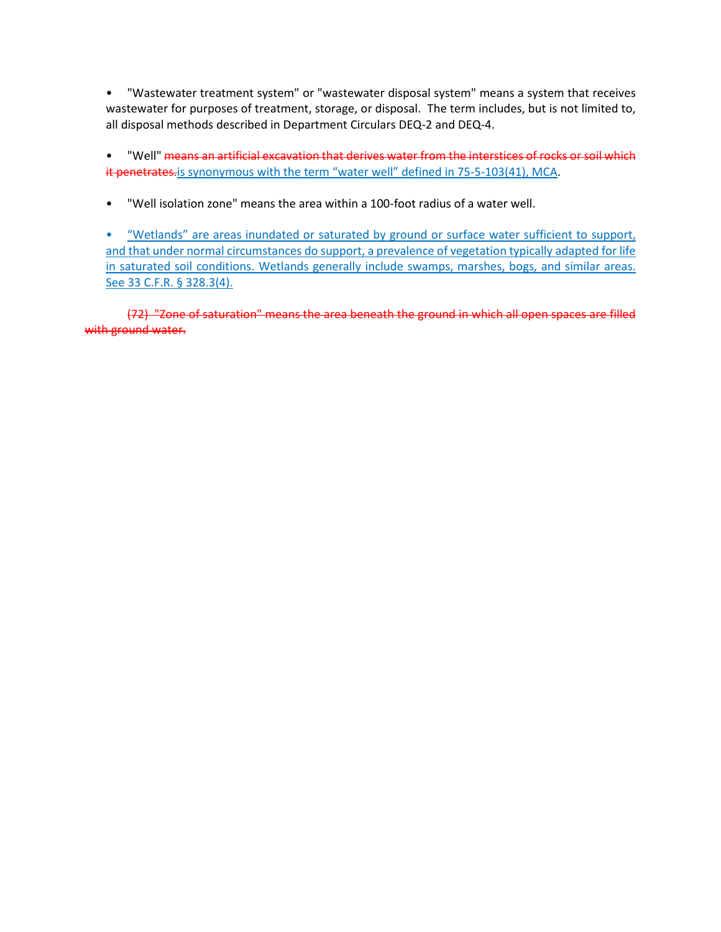• "Wastewater treatment system" or "wastewater disposal system" means a system that receives wastewater for purposes of treatment, storage, or disposal. The term includes, but is not limited to, all disposal methods described in Department Circulars DEQ-2 and DEQ-4.

• "Well" means an artificial excavation that derives water from the interstices of rocks or soil which it penetrates.is synonymous with the term "water well" defined in 75-5-103(41), MCA.

• "Well isolation zone" means the area within a 100-foot radius of a water well.

• "Wetlands" are areas inundated or saturated by ground or surface water sufficient to support, and that under normal circumstances do support, a prevalence of vegetation typically adapted for life in saturated soil conditions. Wetlands generally include swamps, marshes, bogs, and similar areas. See 33 C.F.R. § 328.3(4).

(72) "Zone of saturation" means the area beneath the ground in which all open spaces are filled with ground water.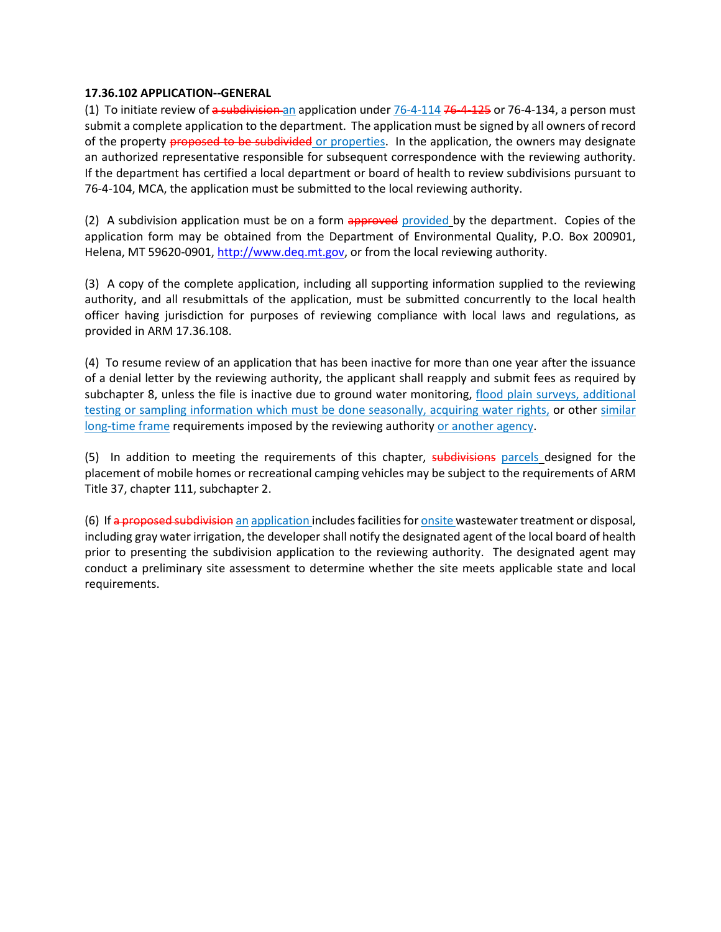#### **17.36.102 APPLICATION--GENERAL**

(1) To initiate review of  $a$ -subdivision an application under  $76-4-114$   $76-4-125$  or 76-4-134, a person must submit a complete application to the department. The application must be signed by all owners of record of the property proposed to be subdivided or properties. In the application, the owners may designate an authorized representative responsible for subsequent correspondence with the reviewing authority. If the department has certified a local department or board of health to review subdivisions pursuant to 76-4-104, MCA, the application must be submitted to the local reviewing authority.

(2) A subdivision application must be on a form approved provided by the department. Copies of the application form may be obtained from the Department of Environmental Quality, P.O. Box 200901, Helena, MT 59620-0901[, http://www.deq.mt.gov,](http://www.deq.mt.gov/) or from the local reviewing authority.

(3) A copy of the complete application, including all supporting information supplied to the reviewing authority, and all resubmittals of the application, must be submitted concurrently to the local health officer having jurisdiction for purposes of reviewing compliance with local laws and regulations, as provided in ARM 17.36.108.

(4) To resume review of an application that has been inactive for more than one year after the issuance of a denial letter by the reviewing authority, the applicant shall reapply and submit fees as required by subchapter 8, unless the file is inactive due to ground water monitoring, flood plain surveys, additional testing or sampling information which must be done seasonally, acquiring water rights, or other similar long-time frame requirements imposed by the reviewing authority or another agency.

(5) In addition to meeting the requirements of this chapter, subdivisions parcels designed for the placement of mobile homes or recreational camping vehicles may be subject to the requirements of ARM Title 37, chapter 111, subchapter 2.

(6) If a proposed subdivision an application includes facilities for onsite wastewater treatment or disposal, including gray water irrigation, the developer shall notify the designated agent of the local board of health prior to presenting the subdivision application to the reviewing authority. The designated agent may conduct a preliminary site assessment to determine whether the site meets applicable state and local requirements.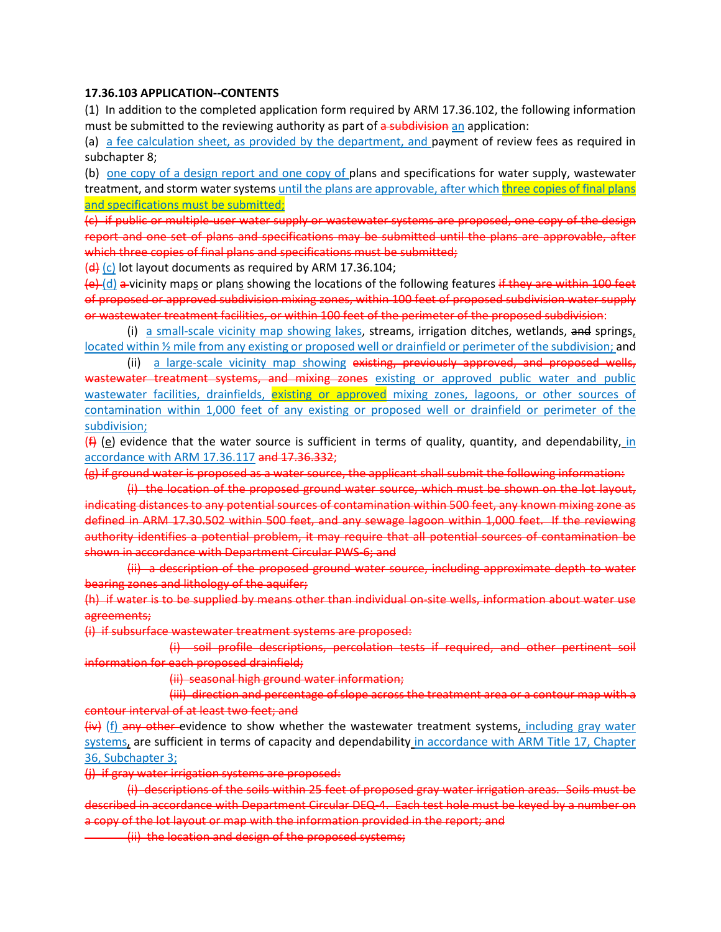#### **17.36.103 APPLICATION--CONTENTS**

(1) In addition to the completed application form required by ARM 17.36.102, the following information must be submitted to the reviewing authority as part of a subdivision an application:

(a) a fee calculation sheet, as provided by the department, and payment of review fees as required in subchapter 8;

(b) one copy of a design report and one copy of plans and specifications for water supply, wastewater treatment, and storm water systems until the plans are approvable, after which three copies of final plans and specifications must be submitted;

(c) if public or multiple-user water supply or wastewater systems are proposed, one copy of the design report and one set of plans and specifications may be submitted until the plans are approvable, after which three copies of final plans and specifications must be submitted;

 $(d)$  (c) lot layout documents as required by ARM 17.36.104;

 $(e)$  (d) a vicinity maps or plans showing the locations of the following features if they are within 100 feet of proposed or approved subdivision mixing zones, within 100 feet of proposed subdivision water supply or wastewater treatment facilities, or within 100 feet of the perimeter of the proposed subdivision:

(i) a small-scale vicinity map showing lakes, streams, irrigation ditches, wetlands, and springs, located within  $\frac{1}{2}$  mile from any existing or proposed well or drainfield or perimeter of the subdivision; and

(ii) a large-scale vicinity map showing existing, previously approved, and proposed wells, wastewater treatment systems, and mixing zones existing or approved public water and public wastewater facilities, drainfields, existing or approved mixing zones, lagoons, or other sources of contamination within 1,000 feet of any existing or proposed well or drainfield or perimeter of the subdivision;

(f) (e) evidence that the water source is sufficient in terms of quality, quantity, and dependability, in accordance with ARM 17.36.117 and 17.36.332;

(g) if ground water is proposed as a water source, the applicant shall submit the following information:

(i) the location of the proposed ground water source, which must be shown on the lot layout, indicating distances to any potential sources of contamination within 500 feet, any known mixing zone as defined in ARM 17.30.502 within 500 feet, and any sewage lagoon within 1,000 feet. If the reviewing authority identifies a potential problem, it may require that all potential sources of contamination be shown in accordance with Department Circular PWS-6; and

(ii) a description of the proposed ground water source, including approximate depth to water bearing zones and lithology of the aquifer;

(h) if water is to be supplied by means other than individual on-site wells, information about water use agreements;

(i) if subsurface wastewater treatment systems are proposed:

(i) soil profile descriptions, percolation tests if required, and other pertinent soil information for each proposed drainfield;

(ii) seasonal high ground water information;

(iii) direction and percentage of slope across the treatment area or a contour map with a contour interval of at least two feet; and

 $(iv)$  (f) any other-evidence to show whether the wastewater treatment systems, including gray water systems, are sufficient in terms of capacity and dependability in accordance with ARM Title 17, Chapter 36, Subchapter 3;

(j) if gray water irrigation systems are proposed:

(i) descriptions of the soils within 25 feet of proposed gray water irrigation areas. Soils must be described in accordance with Department Circular DEQ-4. Each test hole must be keyed by a number on a copy of the lot layout or map with the information provided in the report; and

(ii) the location and design of the proposed systems;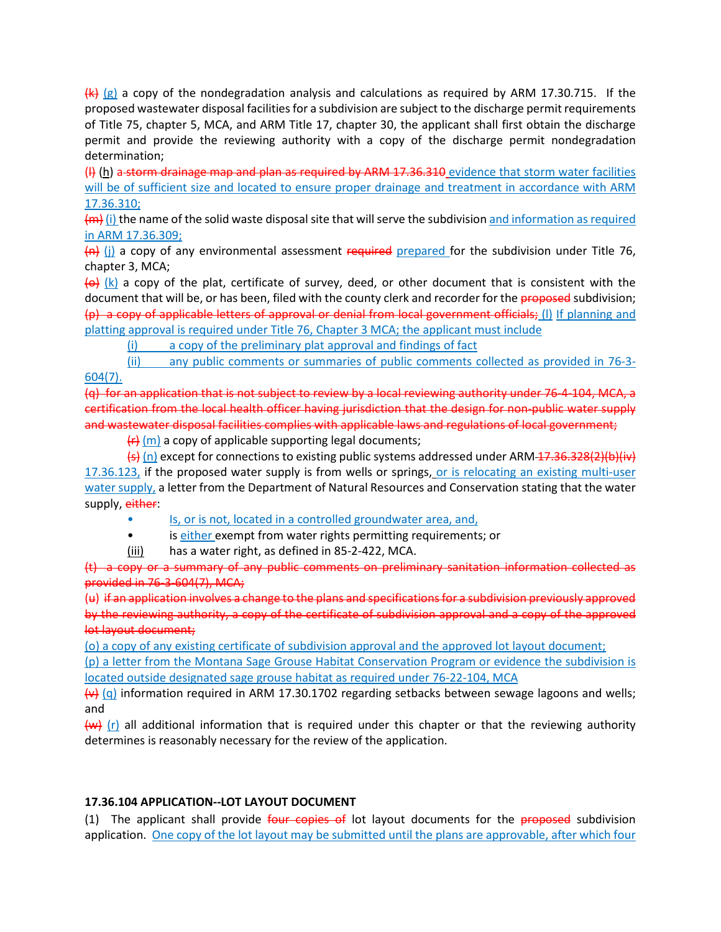$\{k\}$  (g) a copy of the nondegradation analysis and calculations as required by ARM 17.30.715. If the proposed wastewater disposal facilities for a subdivision are subject to the discharge permit requirements of Title 75, chapter 5, MCA, and ARM Title 17, chapter 30, the applicant shall first obtain the discharge permit and provide the reviewing authority with a copy of the discharge permit nondegradation determination;

(H) (h) a storm drainage map and plan as required by ARM 17.36.310 evidence that storm water facilities will be of sufficient size and located to ensure proper drainage and treatment in accordance with ARM 17.36.310;

 $(m)$  (i) the name of the solid waste disposal site that will serve the subdivision and information as required in ARM 17.36.309;

 $(n)$  (i) a copy of any environmental assessment required prepared for the subdivision under Title 76, chapter 3, MCA;

 $\left\{\Theta\right\}$  (k) a copy of the plat, certificate of survey, deed, or other document that is consistent with the document that will be, or has been, filed with the county clerk and recorder for the proposed subdivision; (p) a copy of applicable letters of approval or denial from local government officials; (l) If planning and platting approval is required under Title 76, Chapter 3 MCA; the applicant must include

(i) a copy of the preliminary plat approval and findings of fact

(ii) any public comments or summaries of public comments collected as provided in [76-3-](https://leg.mt.gov/bills/mca/title_0760/chapter_0030/part_0060/section_0040/0760-0030-0060-0040.html) [604\(](https://leg.mt.gov/bills/mca/title_0760/chapter_0030/part_0060/section_0040/0760-0030-0060-0040.html)7).

(q) for an application that is not subject to review by a local reviewing authority under 76-4-104, MCA, a certification from the local health officer having jurisdiction that the design for non-public water supply and wastewater disposal facilities complies with applicable laws and regulations of local government;

 $(r)$  (m) a copy of applicable supporting legal documents;

 $\left( \frac{1}{2} \epsilon \right)$  (n) except for connections to existing public systems addressed under ARM 17.36.328(2)(b)(iv) 17.36.123, if the proposed water supply is from wells or springs, or is relocating an existing multi-user water supply, a letter from the Department of Natural Resources and Conservation stating that the water supply, either:

• Is, or is not, located in a controlled groundwater area, and,

• is either exempt from water rights permitting requirements; or

(iii) has a water right, as defined in 85-2-422, MCA.

(t) a copy or a summary of any public comments on preliminary sanitation information collected as provided in 76-3-604(7), MCA;

(u) if an application involves a change to the plans and specifications for a subdivision previously approved by the reviewing authority, a copy of the certificate of subdivision approval and a copy of the approved lot layout document;

(o) a copy of any existing certificate of subdivision approval and the approved lot layout document;

(p) a letter from the Montana Sage Grouse Habitat Conservation Program or evidence the subdivision is located outside designated sage grouse habitat as required under 76-22-104, MCA

 $\overline{v}(x)$  (q) information required in ARM 17.30.1702 regarding setbacks between sewage lagoons and wells; and

 $(w)$  (r) all additional information that is required under this chapter or that the reviewing authority determines is reasonably necessary for the review of the application.

## **17.36.104 APPLICATION--LOT LAYOUT DOCUMENT**

 $(1)$  The applicant shall provide four copies of lot layout documents for the proposed subdivision application. One copy of the lot layout may be submitted until the plans are approvable, after which four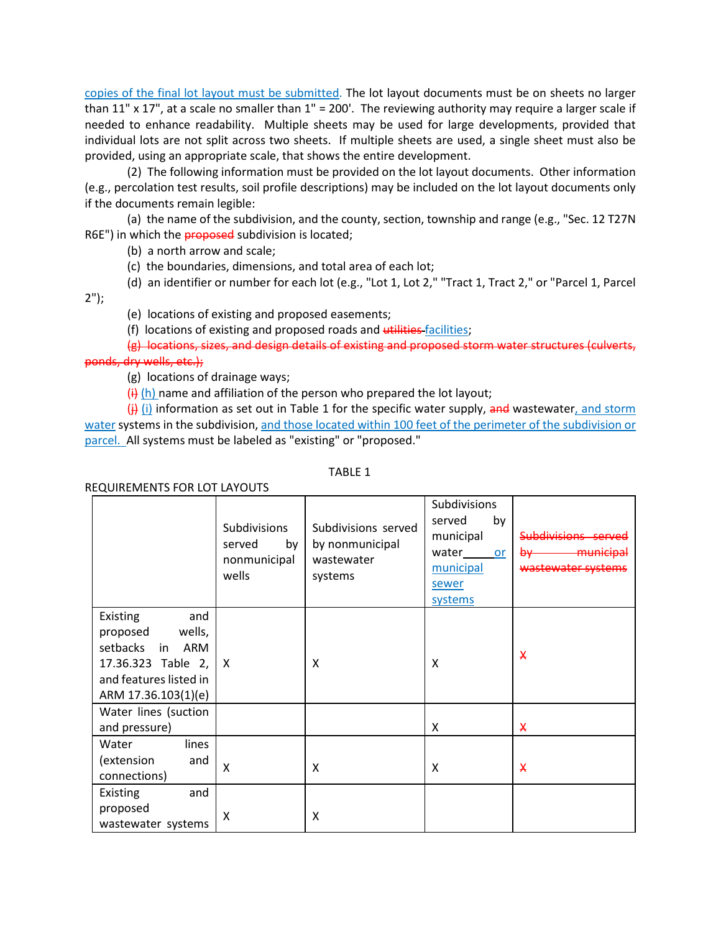copies of the final lot layout must be submitted. The lot layout documents must be on sheets no larger than 11" x 17", at a scale no smaller than  $1" = 200'$ . The reviewing authority may require a larger scale if needed to enhance readability. Multiple sheets may be used for large developments, provided that individual lots are not split across two sheets. If multiple sheets are used, a single sheet must also be provided, using an appropriate scale, that shows the entire development.

(2) The following information must be provided on the lot layout documents. Other information (e.g., percolation test results, soil profile descriptions) may be included on the lot layout documents only if the documents remain legible:

(a) the name of the subdivision, and the county, section, township and range (e.g., "Sec. 12 T27N R6E") in which the **proposed** subdivision is located;

(b) a north arrow and scale;

(c) the boundaries, dimensions, and total area of each lot;

(d) an identifier or number for each lot (e.g., "Lot 1, Lot 2," "Tract 1, Tract 2," or "Parcel 1, Parcel

2");

(e) locations of existing and proposed easements;

(f) locations of existing and proposed roads and utilities facilities;

(g) locations, sizes, and design details of existing and proposed storm water structures (culverts, ponds, dry wells, etc.);

(g) locations of drainage ways;

 $(i)$  (h) name and affiliation of the person who prepared the lot layout;

 $(i)$  (i) information as set out in Table 1 for the specific water supply, and wastewater, and storm water systems in the subdivision, and those located within 100 feet of the perimeter of the subdivision or parcel. All systems must be labeled as "existing" or "proposed."

|                                                                                                                                    | <b>Subdivisions</b><br>served<br>by<br>nonmunicipal<br>wells | Subdivisions served<br>by nonmunicipal<br>wastewater<br>systems | Subdivisions<br>by<br>served<br>municipal<br>water<br>or<br>municipal<br>sewer<br>systems | <del>Subdivisions served</del><br><del>municipal</del><br>₩<br>wastewater systems |
|------------------------------------------------------------------------------------------------------------------------------------|--------------------------------------------------------------|-----------------------------------------------------------------|-------------------------------------------------------------------------------------------|-----------------------------------------------------------------------------------|
| Existing<br>and<br>proposed<br>wells,<br>setbacks in<br>ARM<br>17.36.323 Table 2,<br>and features listed in<br>ARM 17.36.103(1)(e) | X                                                            | x                                                               | x                                                                                         | X                                                                                 |
| Water lines (suction<br>and pressure)                                                                                              |                                                              |                                                                 | X                                                                                         | $\boldsymbol{\mathsf{X}}$                                                         |
| Water<br>lines<br>(extension<br>and<br>connections)                                                                                | X                                                            | x                                                               | X                                                                                         | X                                                                                 |
| Existing<br>and<br>proposed<br>wastewater systems                                                                                  | X                                                            | X                                                               |                                                                                           |                                                                                   |

## REQUIREMENTS FOR LOT LAYOUTS

## TABLE 1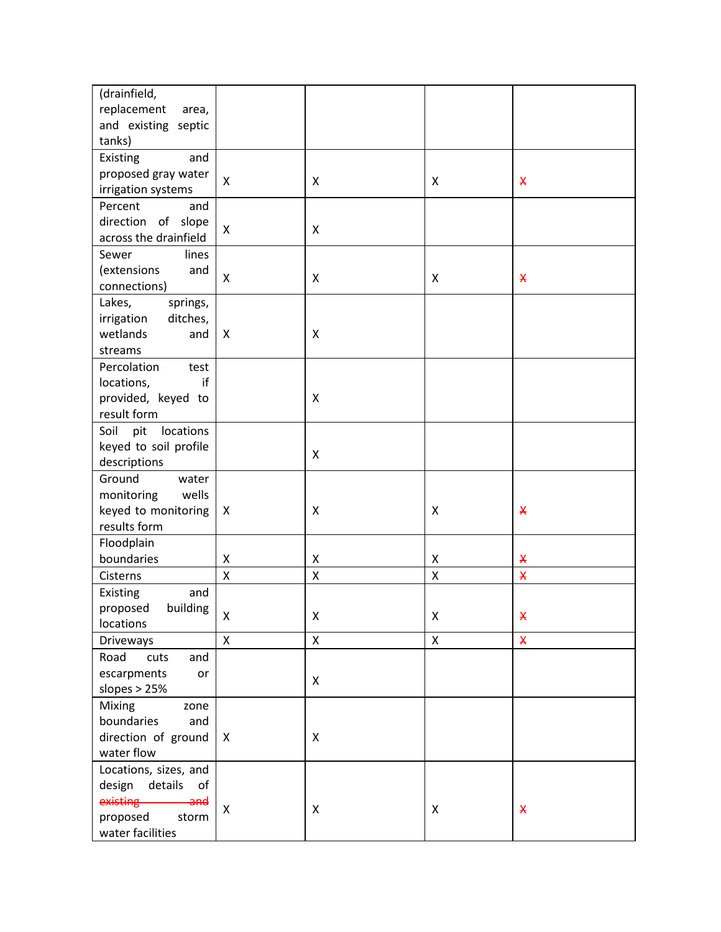| (drainfield,               |   |                    |                    |                           |
|----------------------------|---|--------------------|--------------------|---------------------------|
| replacement<br>area,       |   |                    |                    |                           |
| and existing septic        |   |                    |                    |                           |
| tanks)                     |   |                    |                    |                           |
| Existing<br>and            |   |                    |                    |                           |
| proposed gray water        | X | X                  | X                  | $\mathsf{\mathsf{X}}$     |
| irrigation systems         |   |                    |                    |                           |
| Percent<br>and             |   |                    |                    |                           |
| direction of slope         | X | X                  |                    |                           |
| across the drainfield      |   |                    |                    |                           |
| Sewer<br>lines             |   |                    |                    |                           |
| (extensions<br>and         |   |                    |                    |                           |
| connections)               | X | X                  | X                  | $\star$                   |
| Lakes,<br>springs,         |   |                    |                    |                           |
| irrigation<br>ditches,     |   |                    |                    |                           |
| wetlands<br>and            | X | X                  |                    |                           |
| streams                    |   |                    |                    |                           |
| Percolation<br>test        |   |                    |                    |                           |
| if<br>locations,           |   |                    |                    |                           |
| provided, keyed to         |   | Χ                  |                    |                           |
| result form                |   |                    |                    |                           |
| Soil<br>pit<br>locations   |   |                    |                    |                           |
| keyed to soil profile      |   |                    |                    |                           |
| descriptions               |   | X                  |                    |                           |
| Ground<br>water            |   |                    |                    |                           |
| monitoring<br>wells        |   |                    |                    |                           |
| keyed to monitoring        | X | X                  | X                  | $\boldsymbol{\mathsf{X}}$ |
| results form               |   |                    |                    |                           |
| Floodplain                 |   |                    |                    |                           |
| boundaries                 | X | Χ                  | X                  | X                         |
|                            | X | $\pmb{\mathsf{X}}$ | X                  |                           |
| Cisterns                   |   |                    |                    | $\pmb{\mathsf{X}}$        |
| Existing<br>and            |   |                    |                    |                           |
| building<br>proposed       | X | Χ                  | Χ                  | Х                         |
| locations                  |   |                    |                    |                           |
| Driveways                  | X | $\pmb{\mathsf{X}}$ | $\pmb{\mathsf{X}}$ | $\pmb{\mathsf{X}}$        |
| Road<br>cuts<br>and        |   |                    |                    |                           |
| escarpments<br>or          |   | X                  |                    |                           |
| slopes > 25%               |   |                    |                    |                           |
| Mixing<br>zone             |   |                    |                    |                           |
| boundaries<br>and          |   |                    |                    |                           |
| direction of ground        | X | X                  |                    |                           |
| water flow                 |   |                    |                    |                           |
| Locations, sizes, and      |   |                    |                    |                           |
| design details<br>of       |   |                    |                    |                           |
| existing<br><del>and</del> | X | X                  | X                  | $\pmb{\mathsf{X}}$        |
| proposed<br>storm          |   |                    |                    |                           |
| water facilities           |   |                    |                    |                           |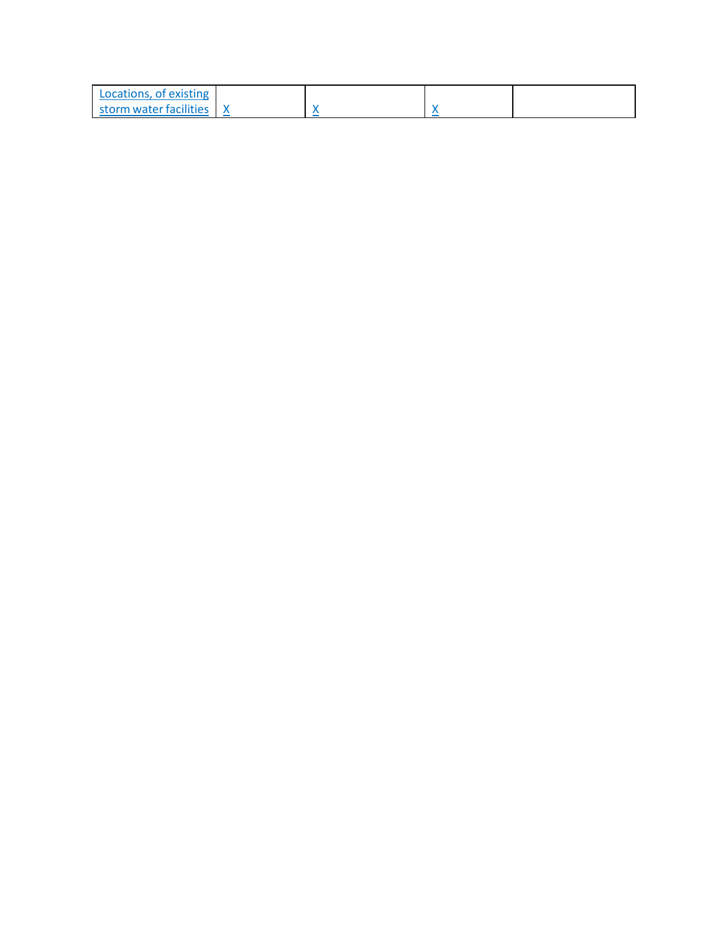| Locations, of existing |        |  |
|------------------------|--------|--|
| storm water facilities | $\sim$ |  |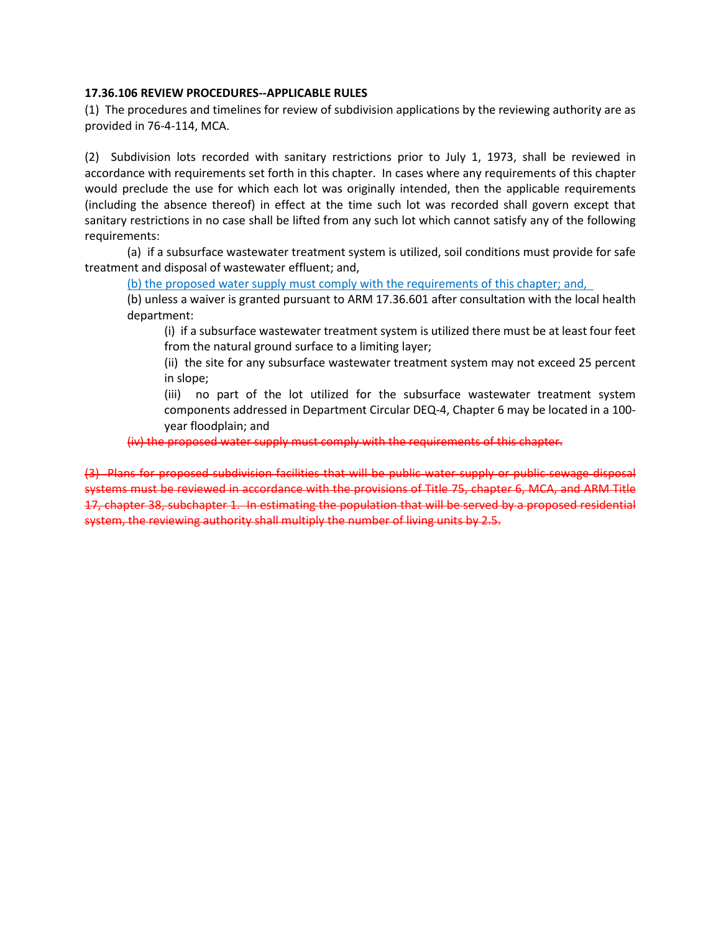#### **17.36.106 REVIEW PROCEDURES--APPLICABLE RULES**

(1) The procedures and timelines for review of subdivision applications by the reviewing authority are as provided in 76-4-114, MCA.

(2) Subdivision lots recorded with sanitary restrictions prior to July 1, 1973, shall be reviewed in accordance with requirements set forth in this chapter. In cases where any requirements of this chapter would preclude the use for which each lot was originally intended, then the applicable requirements (including the absence thereof) in effect at the time such lot was recorded shall govern except that sanitary restrictions in no case shall be lifted from any such lot which cannot satisfy any of the following requirements:

(a) if a subsurface wastewater treatment system is utilized, soil conditions must provide for safe treatment and disposal of wastewater effluent; and,

(b) the proposed water supply must comply with the requirements of this chapter; and,

(b) unless a waiver is granted pursuant to ARM 17.36.601 after consultation with the local health department:

(i) if a subsurface wastewater treatment system is utilized there must be at least four feet from the natural ground surface to a limiting layer;

(ii) the site for any subsurface wastewater treatment system may not exceed 25 percent in slope;

(iii) no part of the lot utilized for the subsurface wastewater treatment system components addressed in Department Circular DEQ-4, Chapter 6 may be located in a 100 year floodplain; and

(iv) the proposed water supply must comply with the requirements of this chapter.

(3) Plans for proposed subdivision facilities that will be public water supply or public sewage disposal systems must be reviewed in accordance with the provisions of Title 75, chapter 6, MCA, and ARM Title 17, chapter 38, subchapter 1. In estimating the population that will be served by a proposed residential system, the reviewing authority shall multiply the number of living units by 2.5.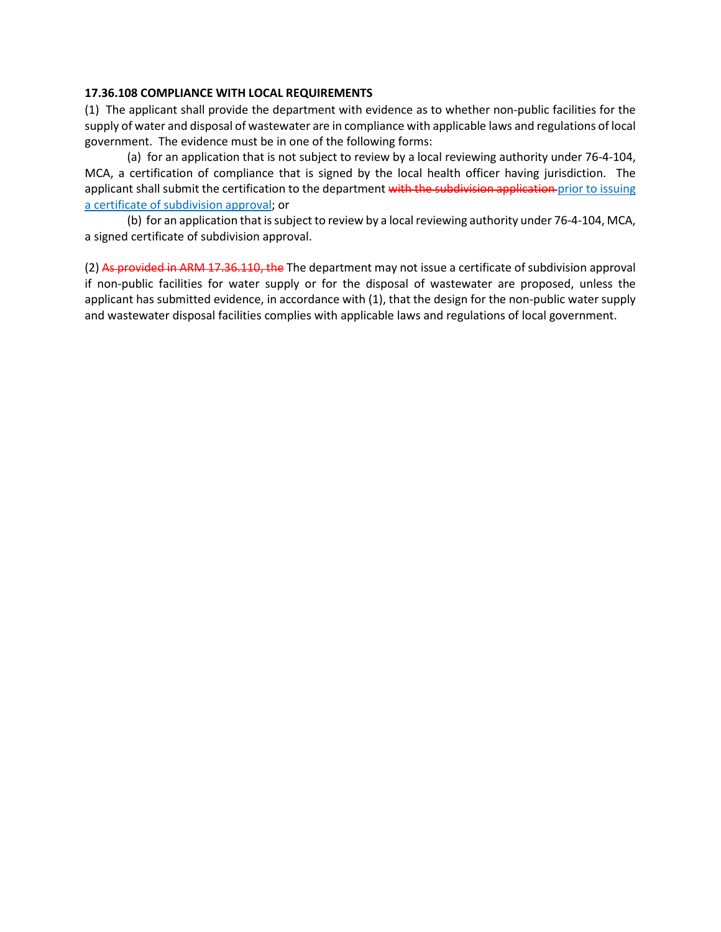#### **17.36.108 COMPLIANCE WITH LOCAL REQUIREMENTS**

(1) The applicant shall provide the department with evidence as to whether non-public facilities for the supply of water and disposal of wastewater are in compliance with applicable laws and regulations of local government. The evidence must be in one of the following forms:

(a) for an application that is not subject to review by a local reviewing authority under 76-4-104, MCA, a certification of compliance that is signed by the local health officer having jurisdiction. The applicant shall submit the certification to the department with the subdivision application prior to issuing a certificate of subdivision approval; or

(b) for an application that is subject to review by a local reviewing authority under 76-4-104, MCA, a signed certificate of subdivision approval.

(2) As provided in ARM 17.36.110, the The department may not issue a certificate of subdivision approval if non-public facilities for water supply or for the disposal of wastewater are proposed, unless the applicant has submitted evidence, in accordance with (1), that the design for the non-public water supply and wastewater disposal facilities complies with applicable laws and regulations of local government.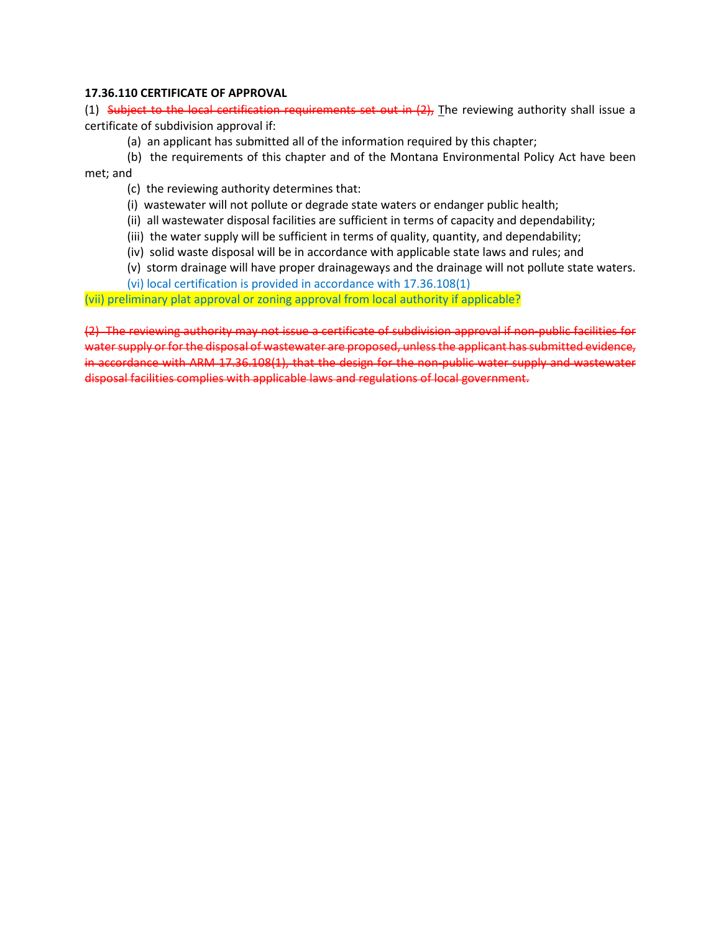#### **17.36.110 CERTIFICATE OF APPROVAL**

(1) Subject to the local certification requirements set out in  $(2)$ , The reviewing authority shall issue a certificate of subdivision approval if:

(a) an applicant has submitted all of the information required by this chapter;

(b) the requirements of this chapter and of the Montana Environmental Policy Act have been met; and

- (c) the reviewing authority determines that:
- (i) wastewater will not pollute or degrade state waters or endanger public health;
- (ii) all wastewater disposal facilities are sufficient in terms of capacity and dependability;
- (iii) the water supply will be sufficient in terms of quality, quantity, and dependability;
- (iv) solid waste disposal will be in accordance with applicable state laws and rules; and
- (v) storm drainage will have proper drainageways and the drainage will not pollute state waters.
- (vi) local certification is provided in accordance with 17.36.108(1)

(vii) preliminary plat approval or zoning approval from local authority if applicable?

(2) The reviewing authority may not issue a certificate of subdivision approval if non-public facilities for water supply or for the disposal of wastewater are proposed, unless the applicant has submitted evidence, in accordance with ARM 17.36.108(1), that the design for the non-public water supply and wastewater disposal facilities complies with applicable laws and regulations of local government.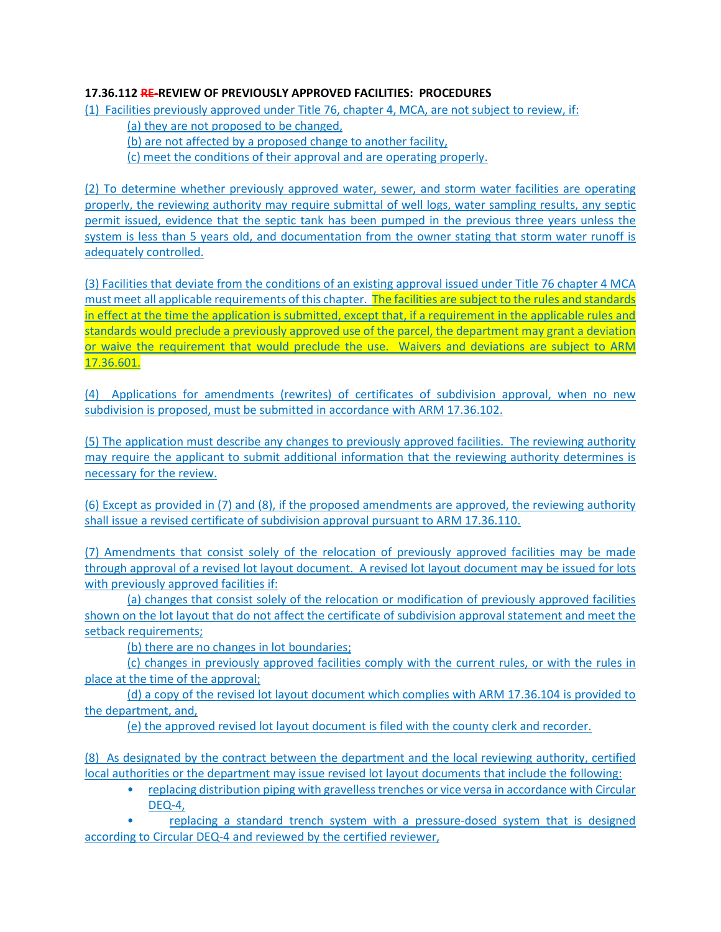## **17.36.112 RE-REVIEW OF PREVIOUSLY APPROVED FACILITIES: PROCEDURES**

(1) Facilities previously approved under Title 76, chapter 4, MCA, are not subject to review, if: (a) they are not proposed to be changed,

(b) are not affected by a proposed change to another facility,

(c) meet the conditions of their approval and are operating properly.

(2) To determine whether previously approved water, sewer, and storm water facilities are operating properly, the reviewing authority may require submittal of well logs, water sampling results, any septic permit issued, evidence that the septic tank has been pumped in the previous three years unless the system is less than 5 years old, and documentation from the owner stating that storm water runoff is adequately controlled.

(3) Facilities that deviate from the conditions of an existing approval issued under Title 76 chapter 4 MCA must meet all applicable requirements of this chapter. The facilities are subject to the rules and standards in effect at the time the application is submitted, except that, if a requirement in the applicable rules and standards would preclude a previously approved use of the parcel, the department may grant a deviation or waive the requirement that would preclude the use. Waivers and deviations are subject to ARM 17.36.601.

(4) Applications for amendments (rewrites) of certificates of subdivision approval, when no new subdivision is proposed, must be submitted in accordance with ARM 17.36.102.

(5) The application must describe any changes to previously approved facilities. The reviewing authority may require the applicant to submit additional information that the reviewing authority determines is necessary for the review.

(6) Except as provided in (7) and (8), if the proposed amendments are approved, the reviewing authority shall issue a revised certificate of subdivision approval pursuant to ARM 17.36.110.

(7) Amendments that consist solely of the relocation of previously approved facilities may be made through approval of a revised lot layout document. A revised lot layout document may be issued for lots with previously approved facilities if:

(a) changes that consist solely of the relocation or modification of previously approved facilities shown on the lot layout that do not affect the certificate of subdivision approval statement and meet the setback requirements;

(b) there are no changes in lot boundaries;

(c) changes in previously approved facilities comply with the current rules, or with the rules in place at the time of the approval;

(d) a copy of the revised lot layout document which complies with ARM 17.36.104 is provided to the department, and,

(e) the approved revised lot layout document is filed with the county clerk and recorder.

(8) As designated by the contract between the department and the local reviewing authority, certified local authorities or the department may issue revised lot layout documents that include the following:

• replacing distribution piping with gravelless trenches or vice versa in accordance with Circular DEQ-4,

• replacing a standard trench system with a pressure-dosed system that is designed according to Circular DEQ-4 and reviewed by the certified reviewer,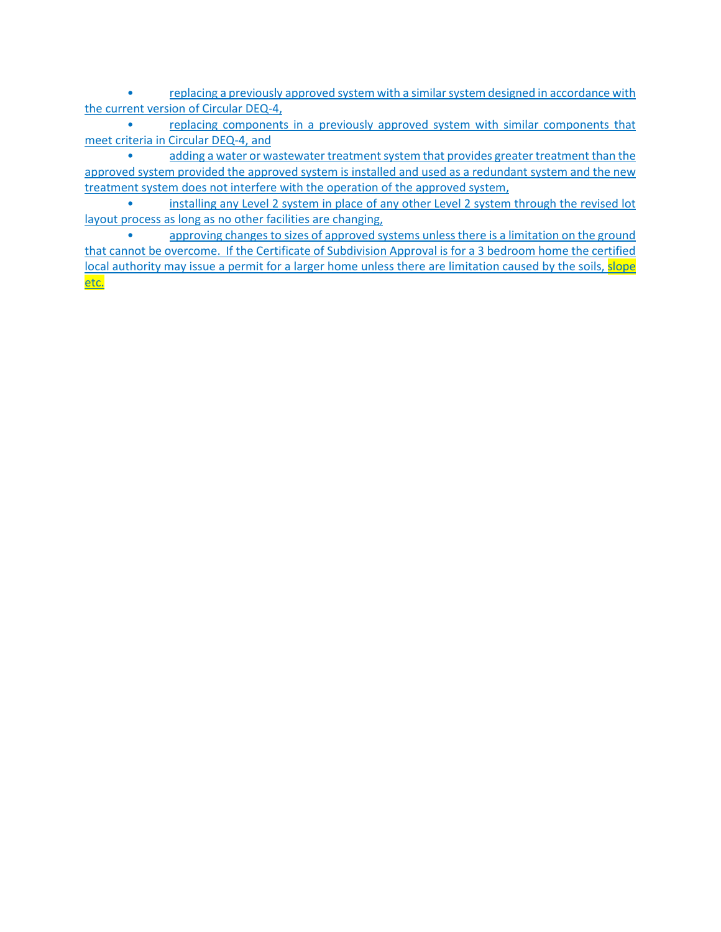• replacing a previously approved system with a similar system designed in accordance with the current version of Circular DEQ-4,

• replacing components in a previously approved system with similar components that meet criteria in Circular DEQ-4, and

• adding a water or wastewater treatment system that provides greater treatment than the approved system provided the approved system is installed and used as a redundant system and the new treatment system does not interfere with the operation of the approved system,

• installing any Level 2 system in place of any other Level 2 system through the revised lot layout process as long as no other facilities are changing,

approving changes to sizes of approved systems unless there is a limitation on the ground that cannot be overcome. If the Certificate of Subdivision Approval is for a 3 bedroom home the certified local authority may issue a permit for a larger home unless there are limitation caused by the soils, slope etc.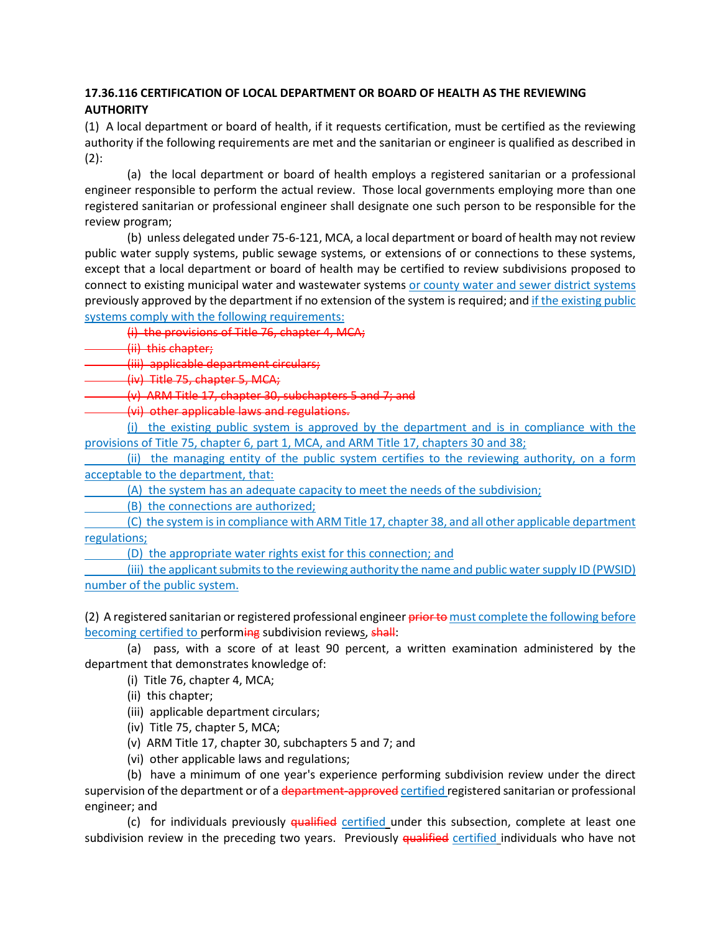# **17.36.116 CERTIFICATION OF LOCAL DEPARTMENT OR BOARD OF HEALTH AS THE REVIEWING AUTHORITY**

(1) A local department or board of health, if it requests certification, must be certified as the reviewing authority if the following requirements are met and the sanitarian or engineer is qualified as described in  $(2)$ :

(a) the local department or board of health employs a registered sanitarian or a professional engineer responsible to perform the actual review. Those local governments employing more than one registered sanitarian or professional engineer shall designate one such person to be responsible for the review program;

(b) unless delegated under 75-6-121, MCA, a local department or board of health may not review public water supply systems, public sewage systems, or extensions of or connections to these systems, except that a local department or board of health may be certified to review subdivisions proposed to connect to existing municipal water and wastewater systems or county water and sewer district systems previously approved by the department if no extension of the system is required; and if the existing public systems comply with the following requirements:

(i) the provisions of Title 76, chapter 4, MCA;

(ii) this chapter;

(iii) applicable department circulars;

(iv) Title 75, chapter 5, MCA;

(v) ARM Title 17, chapter 30, subchapters 5 and 7; and

(vi) other applicable laws and regulations.

(i) the existing public system is approved by the department and is in compliance with the provisions of Title 75, chapter 6, part 1, MCA, and ARM Title 17, chapters 30 and 38;

(ii) the managing entity of the public system certifies to the reviewing authority, on a form acceptable to the department, that:

(A) the system has an adequate capacity to meet the needs of the subdivision;

(B) the connections are authorized;

(C) the system is in compliance with ARM Title 17, chapter 38, and all other applicable department regulations;

(D) the appropriate water rights exist for this connection; and

(iii) the applicant submits to the reviewing authority the name and public water supply ID (PWSID) number of the public system.

(2) A registered sanitarian or registered professional engineer prior to must complete the following before becoming certified to performing subdivision reviews, shall:

(a) pass, with a score of at least 90 percent, a written examination administered by the department that demonstrates knowledge of:

(i) Title 76, chapter 4, MCA;

(ii) this chapter;

(iii) applicable department circulars;

- (iv) Title 75, chapter 5, MCA;
- (v) ARM Title 17, chapter 30, subchapters 5 and 7; and
- (vi) other applicable laws and regulations;

(b) have a minimum of one year's experience performing subdivision review under the direct supervision of the department or of a department-approved certified registered sanitarian or professional engineer; and

(c) for individuals previously qualified certified under this subsection, complete at least one subdivision review in the preceding two years. Previously qualified certified individuals who have not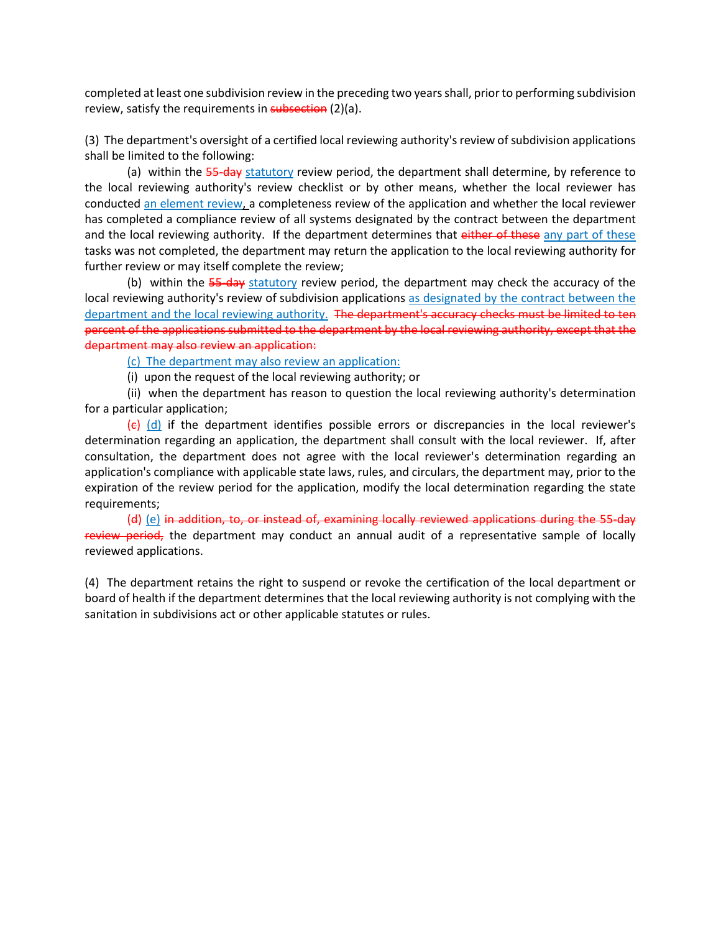completed at least one subdivision review in the preceding two years shall, prior to performing subdivision review, satisfy the requirements in subsection (2)(a).

(3) The department's oversight of a certified local reviewing authority's review of subdivision applications shall be limited to the following:

(a) within the 55-day statutory review period, the department shall determine, by reference to the local reviewing authority's review checklist or by other means, whether the local reviewer has conducted an element review, a completeness review of the application and whether the local reviewer has completed a compliance review of all systems designated by the contract between the department and the local reviewing authority. If the department determines that either of these any part of these tasks was not completed, the department may return the application to the local reviewing authority for further review or may itself complete the review;

(b) within the  $55$ -day statutory review period, the department may check the accuracy of the local reviewing authority's review of subdivision applications as designated by the contract between the department and the local reviewing authority. The department's accuracy checks must be limited to ten percent of the applications submitted to the department by the local reviewing authority, except that the department may also review an application:

(c) The department may also review an application:

(i) upon the request of the local reviewing authority; or

(ii) when the department has reason to question the local reviewing authority's determination for a particular application;

(e) (d) if the department identifies possible errors or discrepancies in the local reviewer's determination regarding an application, the department shall consult with the local reviewer. If, after consultation, the department does not agree with the local reviewer's determination regarding an application's compliance with applicable state laws, rules, and circulars, the department may, prior to the expiration of the review period for the application, modify the local determination regarding the state requirements;

(d) (e) in addition, to, or instead of, examining locally reviewed applications during the 55-day review period, the department may conduct an annual audit of a representative sample of locally reviewed applications.

(4) The department retains the right to suspend or revoke the certification of the local department or board of health if the department determines that the local reviewing authority is not complying with the sanitation in subdivisions act or other applicable statutes or rules.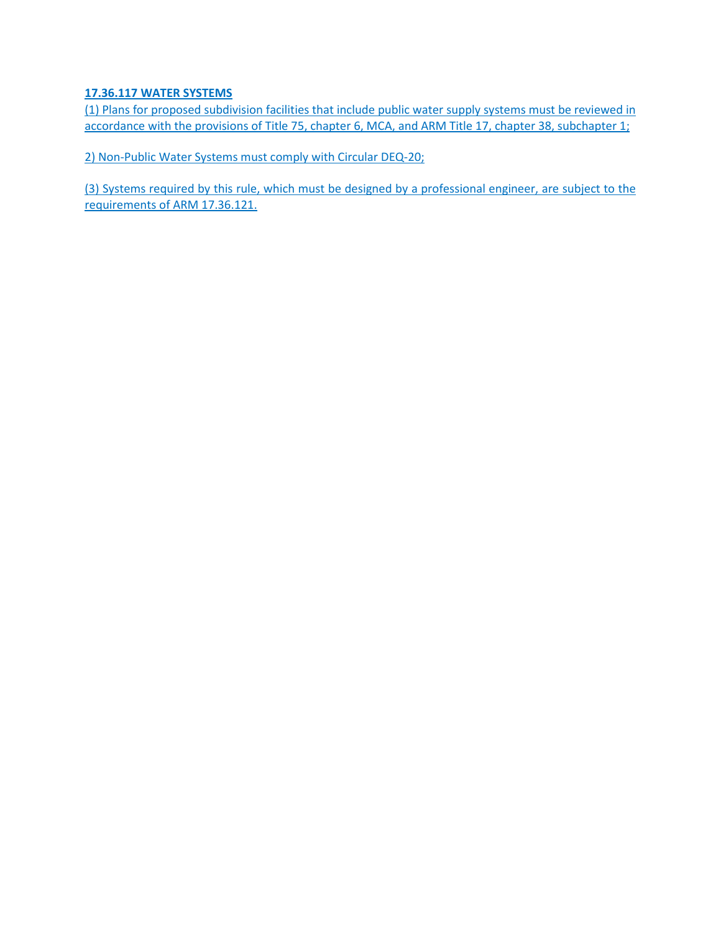## **17.36.117 WATER SYSTEMS**

(1) Plans for proposed subdivision facilities that include public water supply systems must be reviewed in accordance with the provisions of Title 75, chapter 6, MCA, and ARM Title 17, chapter 38, subchapter 1;

2) Non-Public Water Systems must comply with Circular DEQ-20;

(3) Systems required by this rule, which must be designed by a professional engineer, are subject to the requirements of ARM 17.36.121.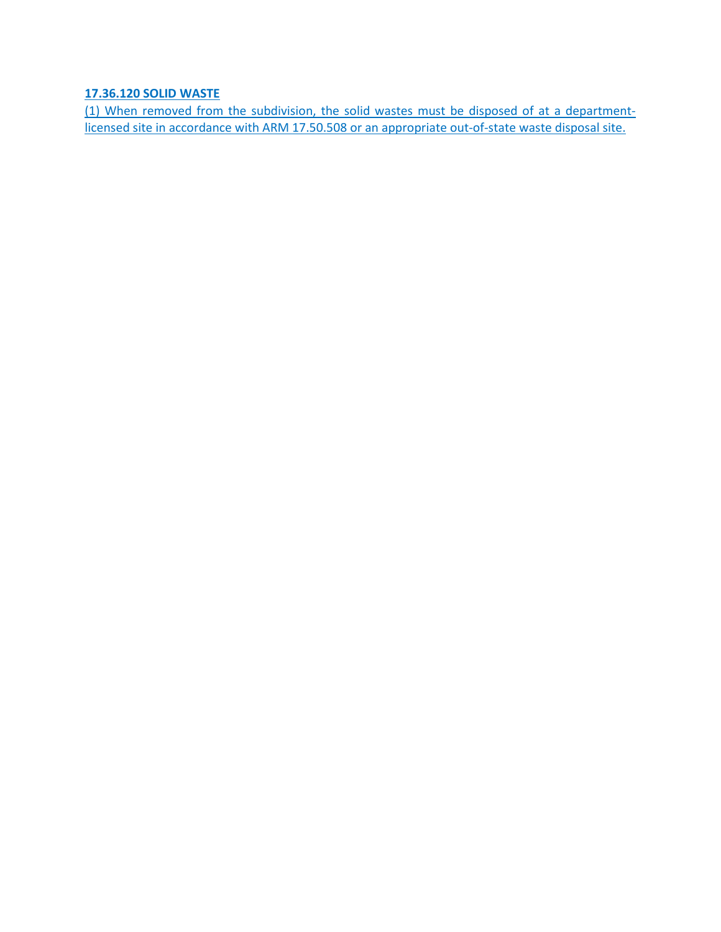# **17.36.120 SOLID WASTE**

(1) When removed from the subdivision, the solid wastes must be disposed of at a departmentlicensed site in accordance with ARM 17.50.508 or an appropriate out-of-state waste disposal site.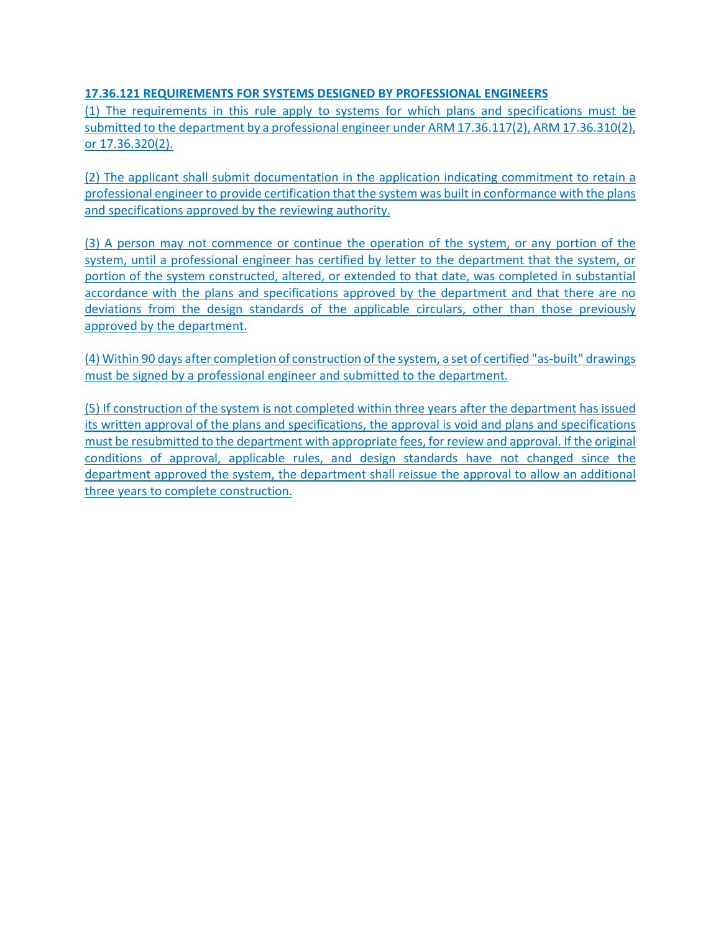## **17.36.121 REQUIREMENTS FOR SYSTEMS DESIGNED BY PROFESSIONAL ENGINEERS**

(1) The requirements in this rule apply to systems for which plans and specifications must be submitted to the department by a professional engineer under ARM 17.36.117(2), ARM 17.36.310(2), or 17.36.320(2).

(2) The applicant shall submit documentation in the application indicating commitment to retain a professional engineer to provide certification that the system was built in conformance with the plans and specifications approved by the reviewing authority.

(3) A person may not commence or continue the operation of the system, or any portion of the system, until a professional engineer has certified by letter to the department that the system, or portion of the system constructed, altered, or extended to that date, was completed in substantial accordance with the plans and specifications approved by the department and that there are no deviations from the design standards of the applicable circulars, other than those previously approved by the department.

(4) Within 90 days after completion of construction of the system, a set of certified "as-built" drawings must be signed by a professional engineer and submitted to the department.

(5) If construction of the system is not completed within three years after the department has issued its written approval of the plans and specifications, the approval is void and plans and specifications must be resubmitted to the department with appropriate fees, for review and approval. If the original conditions of approval, applicable rules, and design standards have not changed since the department approved the system, the department shall reissue the approval to allow an additional three years to complete construction.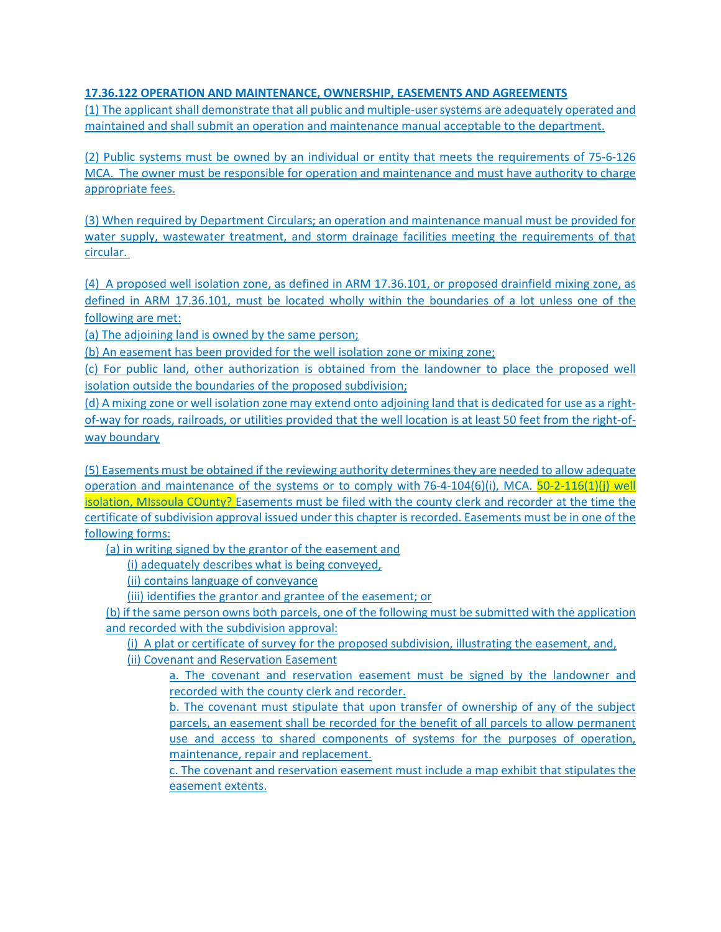### **17.36.122 OPERATION AND MAINTENANCE, OWNERSHIP, EASEMENTS AND AGREEMENTS**

(1) The applicant shall demonstrate that all public and multiple-user systems are adequately operated and maintained and shall submit an operation and maintenance manual acceptable to the department.

(2) Public systems must be owned by an individual or entity that meets the requirements of 75-6-126 MCA. The owner must be responsible for operation and maintenance and must have authority to charge appropriate fees.

(3) When required by Department Circulars; an operation and maintenance manual must be provided for water supply, wastewater treatment, and storm drainage facilities meeting the requirements of that circular.

(4) A proposed well isolation zone, as defined in ARM 17.36.101, or proposed drainfield mixing zone, as defined in ARM 17.36.101, must be located wholly within the boundaries of a lot unless one of the following are met:

(a) The adjoining land is owned by the same person;

(b) An easement has been provided for the well isolation zone or mixing zone;

(c) For public land, other authorization is obtained from the landowner to place the proposed well isolation outside the boundaries of the proposed subdivision;

(d) A mixing zone or well isolation zone may extend onto adjoining land that is dedicated for use as a rightof-way for roads, railroads, or utilities provided that the well location is at least 50 feet from the right-ofway boundary

(5) Easements must be obtained if the reviewing authority determines they are needed to allow adequate operation and maintenance of the systems or to comply with [76-4-104\(](http://leg.mt.gov/bills/mca/title_0760/chapter_0040/part_0010/section_0040/0760-0040-0010-0040.html)6)(i), MCA.  $50-2-116(1)(j)$  well isolation, MIssoula COunty? Easements must be filed with the county clerk and recorder at the time the certificate of subdivision approval issued under this chapter is recorded. Easements must be in one of the following forms:

(a) in writing signed by the grantor of the easement and

(i) adequately describes what is being conveyed,

(ii) contains language of conveyance

(iii) identifies the grantor and grantee of the easement; or

(b) if the same person owns both parcels, one of the following must be submitted with the application and recorded with the subdivision approval:

(i) A plat or certificate of survey for the proposed subdivision, illustrating the easement, and,

(ii) Covenant and Reservation Easement

a. The covenant and reservation easement must be signed by the landowner and recorded with the county clerk and recorder.

b. The covenant must stipulate that upon transfer of ownership of any of the subject parcels, an easement shall be recorded for the benefit of all parcels to allow permanent use and access to shared components of systems for the purposes of operation, maintenance, repair and replacement.

c. The covenant and reservation easement must include a map exhibit that stipulates the easement extents.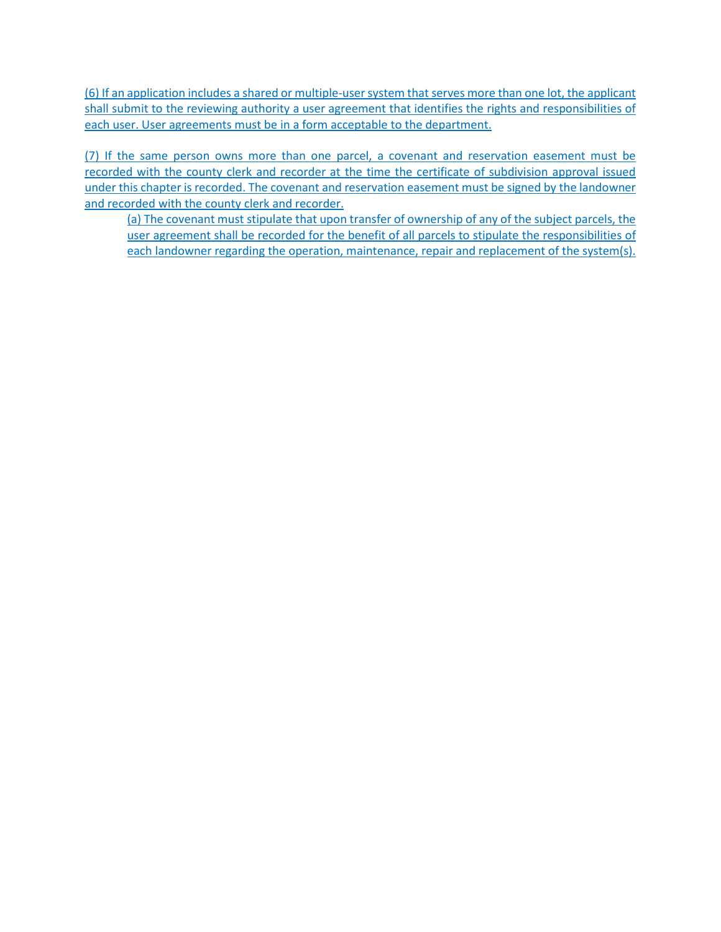(6) If an application includes a shared or multiple-user system that serves more than one lot, the applicant shall submit to the reviewing authority a user agreement that identifies the rights and responsibilities of each user. User agreements must be in a form acceptable to the department.

(7) If the same person owns more than one parcel, a covenant and reservation easement must be recorded with the county clerk and recorder at the time the certificate of subdivision approval issued under this chapter is recorded. The covenant and reservation easement must be signed by the landowner and recorded with the county clerk and recorder.

(a) The covenant must stipulate that upon transfer of ownership of any of the subject parcels, the user agreement shall be recorded for the benefit of all parcels to stipulate the responsibilities of each landowner regarding the operation, maintenance, repair and replacement of the system(s).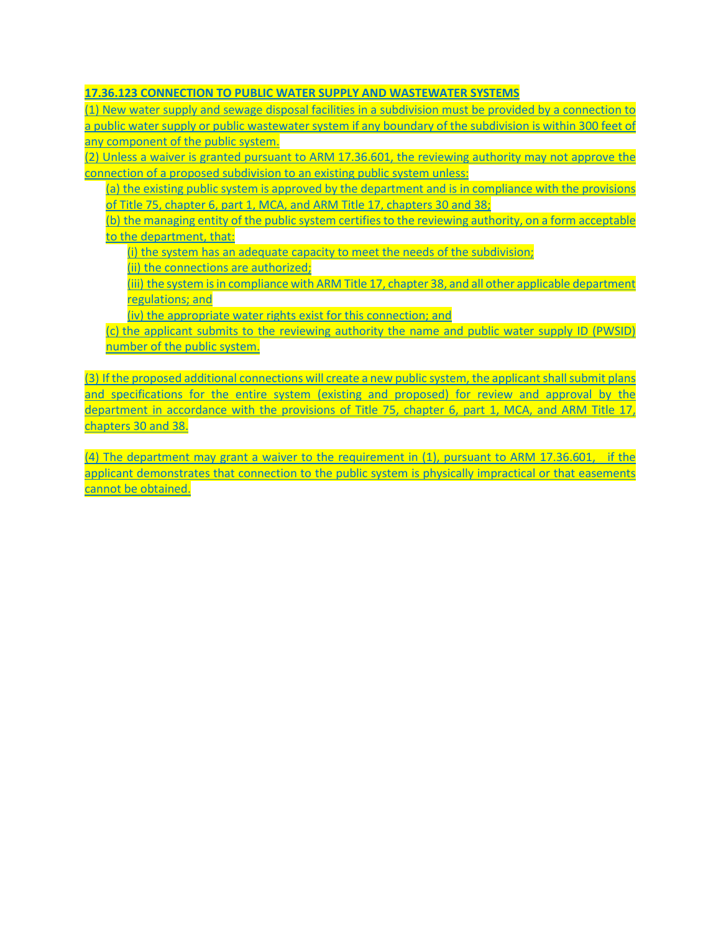## **17.36.123 CONNECTION TO PUBLIC WATER SUPPLY AND WASTEWATER SYSTEMS**

(1) New water supply and sewage disposal facilities in a subdivision must be provided by a connection to a public water supply or public wastewater system if any boundary of the subdivision is within 300 feet of any component of the public system.

(2) Unless a waiver is granted pursuant to ARM [17.36.601,](http://www.mtrules.org/gateway/ruleno.asp?RN=17.36.601) the reviewing authority may not approve the connection of a proposed subdivision to an existing public system unless:

(a) the existing public system is approved by the department and is in compliance with the provisions of Title 75, chapter 6, part 1, MCA, and ARM Title 17, chapters 30 and 38;

(b) the managing entity of the public system certifies to the reviewing authority, on a form acceptable to the department, that:

(i) the system has an adequate capacity to meet the needs of the subdivision;

(ii) the connections are authorized;

(iii) the system is in compliance with ARM Title 17, chapter 38, and all other applicable department regulations; and

(iv) the appropriate water rights exist for this connection; and

(c) the applicant submits to the reviewing authority the name and public water supply ID (PWSID) number of the public system.

(3) If the proposed additional connections will create a new public system, the applicant shall submit plans and specifications for the entire system (existing and proposed) for review and approval by the department in accordance with the provisions of Title 75, chapter 6, part 1, MCA, and ARM Title 17, chapters 30 and 38.

(4) The department may grant a waiver to the requirement in (1), pursuant to ARM 17.36.601, if the applicant demonstrates that connection to the public system is physically impractical or that easements cannot be obtained.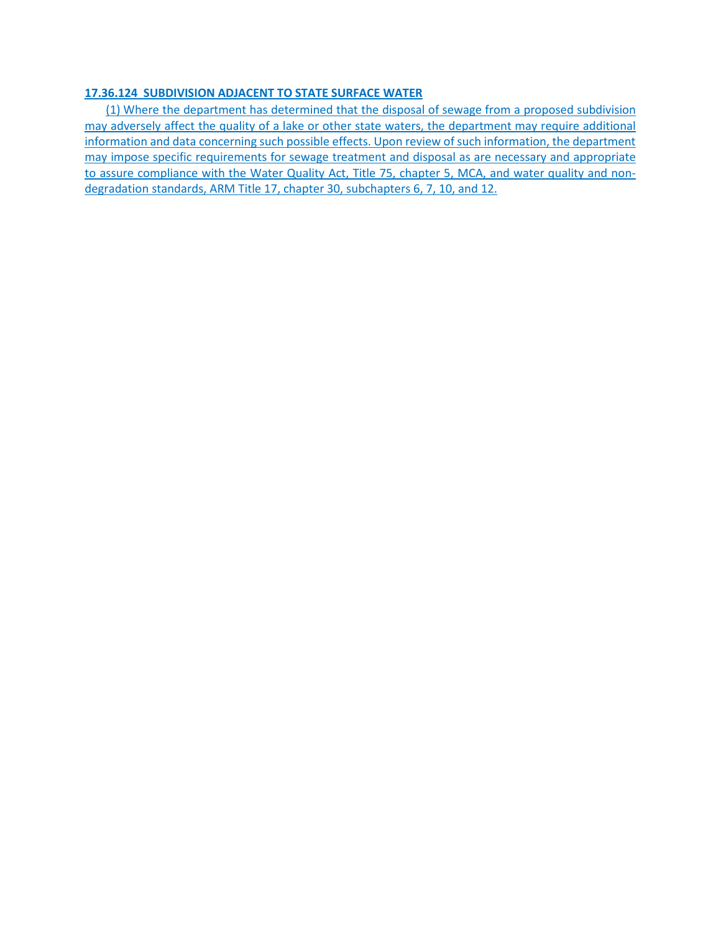#### **[17.36.124](http://www.mtrules.org/gateway/ruleno.asp?RN=17.36.345) SUBDIVISION ADJACENT TO STATE SURFACE WATER**

(1) Where the department has determined that the disposal of sewage from a proposed subdivision may adversely affect the quality of a lake or other state waters, the department may require additional information and data concerning such possible effects. Upon review of such information, the department may impose specific requirements for sewage treatment and disposal as are necessary and appropriate to assure compliance with the Water Quality Act, Title 75, chapter 5, MCA, and water quality and nondegradation standards, ARM Title 17, chapter 30, subchapters 6, 7, 10, and 12.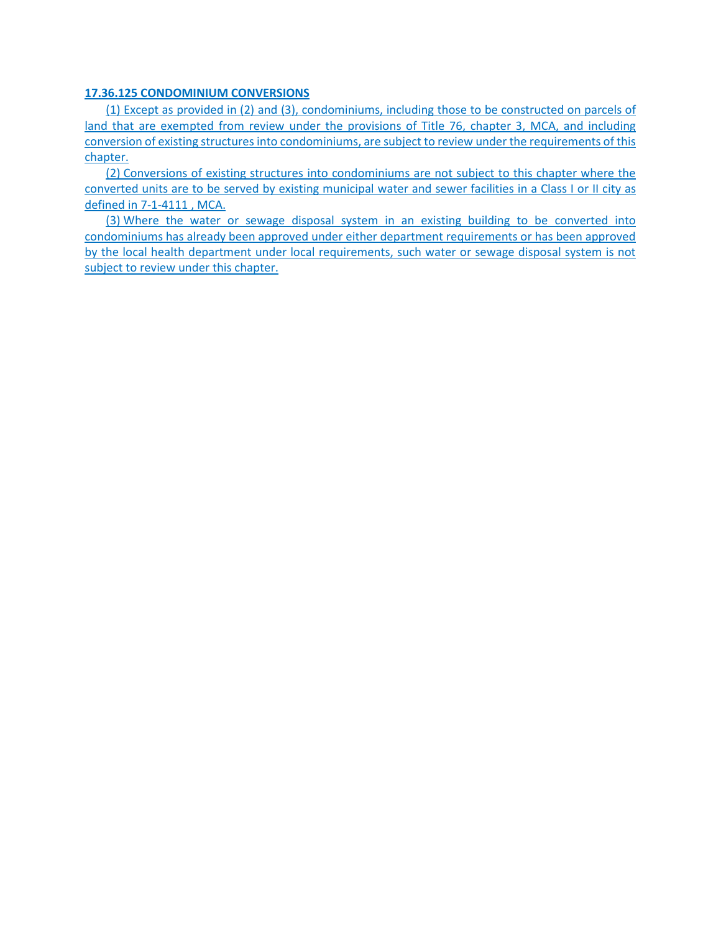#### **[17.36.125](http://www.mtrules.org/gateway/ruleno.asp?RN=17.36.345) CONDOMINIUM CONVERSIONS**

(1) Except as provided in (2) and (3), condominiums, including those to be constructed on parcels of land that are exempted from review under the provisions of Title 76, chapter 3, MCA, and including conversion of existing structures into condominiums, are subject to review under the requirements of this chapter.

(2) Conversions of existing structures into condominiums are not subject to this chapter where the converted units are to be served by existing municipal water and sewer facilities in a Class I or II city as defined in [7-1-4111](http://leg.mt.gov/bills/mca/title_0070/chapter_0010/part_0410/section_0110/0070-0010-0410-0110.html) , MCA.

(3) Where the water or sewage disposal system in an existing building to be converted into condominiums has already been approved under either department requirements or has been approved by the local health department under local requirements, such water or sewage disposal system is not subject to review under this chapter.